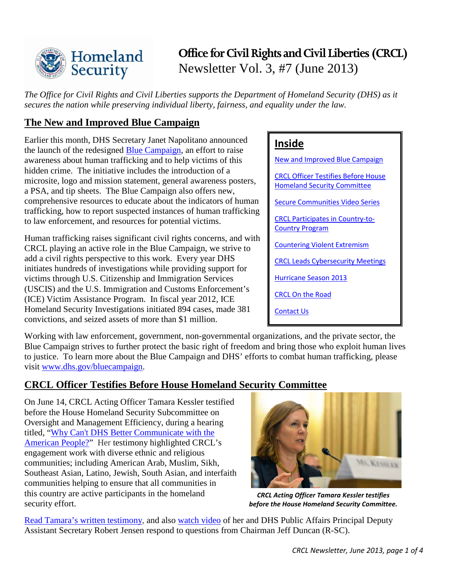

# **Office for Civil Rights and Civil Liberties (CRCL)** Newsletter Vol. 3, #7 (June 2013)

*The Office for Civil Rights and Civil Liberties supports the Department of Homeland Security (DHS) as it secures the nation while preserving individual liberty, fairness, and equality under the law.* 

# <span id="page-0-0"></span>**The New and Improved Blue Campaign**

Earlier this month, DHS Secretary Janet Napolitano announced the launch of the redesigned [Blue Campaign,](http://www.dhs.gov/bluecampaign) an effort to raise awareness about human trafficking and to help victims of this hidden crime. The initiative includes the introduction of a microsite, logo and mission statement, general awareness posters, a PSA, and tip sheets. The Blue Campaign also offers new, comprehensive resources to educate about the indicators of human trafficking, how to report suspected instances of human trafficking to law enforcement, and resources for potential victims.

Human trafficking raises significant civil rights concerns, and with CRCL playing an active role in the Blue Campaign, we strive to add a civil rights perspective to this work. Every year DHS initiates hundreds of investigations while providing support for victims through U.S. Citizenship and Immigration Services (USCIS) and the U.S. Immigration and Customs Enforcement's (ICE) Victim Assistance Program. In fiscal year 2012, ICE Homeland Security Investigations initiated 894 cases, made 381 convictions, and seized assets of more than \$1 million.

### **Inside**

[New and Improved Blue Campaign](#page-0-0) 

[CRCL Officer Testifies Before House](#page-0-1)  [Homeland Security Committee](#page-0-1)

[Secure Communities Video Series](#page-1-0)

[CRCL Participates in Country-to-](#page-1-1)[Country Program](#page-1-1)

[Countering Violent Extremism](#page-2-0)

[CRCL Leads Cybersecurity](#page-2-1) Meetings

[Hurricane Season 2013](#page-3-0)

[CRCL On the Road](#page-3-1)

[Contact Us](#page-3-2)

Working with law enforcement, government, non-governmental organizations, and the private sector, the Blue Campaign strives to further protect the basic right of freedom and bring those who exploit human lives to justice. To learn more about the Blue Campaign and DHS' efforts to combat human trafficking, please visit [www.dhs.gov/bluecampaign.](http://www.dhs.gov/bluecampaign)

## <span id="page-0-1"></span>**CRCL Officer Testifies Before House Homeland Security Committee**

On June 14, CRCL Acting Officer Tamara Kessler testified before the House Homeland Security Subcommittee on Oversight and Management Efficiency, during a hearing titled, "Why Can't [DHS Better Communicate with the](http://homeland.house.gov/hearing/subcommittee-hearing-why-can’t-dhs-better-communicate-american-people)  [American People?"](http://homeland.house.gov/hearing/subcommittee-hearing-why-can’t-dhs-better-communicate-american-people) Her testimony highlighted CRCL's engagement work with diverse ethnic and religious communities; including American Arab, Muslim, Sikh, Southeast Asian, Latino, Jewish, South Asian, and interfaith communities helping to ensure that all communities in this country are active participants in the homeland security effort.



*CRCL Acting Officer Tamara Kessler testifies before the House Homeland Security Committee.*

[Read Tamara's written testimony,](http://www.dhs.gov/news/2013/06/14/written-testimony-dhs-office-civil-rights-and-civil-liberties-house-homeland) and also [watch video](http://www.youtube.com/watch?v=4Kgi9kcfv8k&feature=player_embedded) of her and DHS Public Affairs Principal Deputy Assistant Secretary Robert Jensen respond to questions from Chairman Jeff Duncan (R-SC).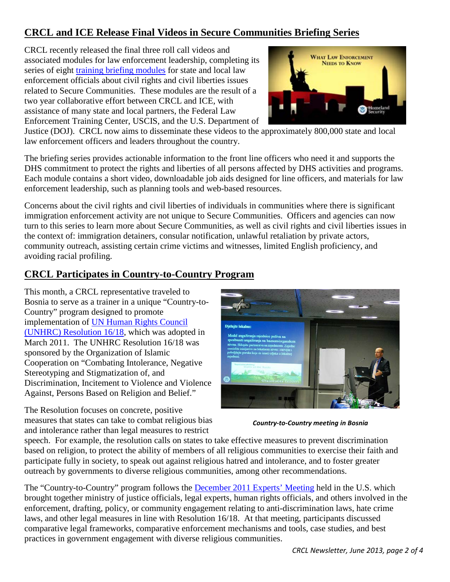# <span id="page-1-0"></span>**CRCL and ICE Release Final Videos in Secure Communities Briefing Series**

CRCL recently released the final three roll call videos and associated modules for law enforcement leadership, completing its series of eight *training briefing modules* for state and local law enforcement officials about civil rights and civil liberties issues related to Secure Communities. These modules are the result of a two year collaborative effort between CRCL and ICE, with assistance of many state and local partners, the Federal Law Enforcement Training Center, USCIS, and the U.S. Department of



Justice (DOJ). CRCL now aims to disseminate these videos to the approximately 800,000 state and local law enforcement officers and leaders throughout the country.

The briefing series provides actionable information to the front line officers who need it and supports the DHS commitment to protect the rights and liberties of all persons affected by DHS activities and programs. Each module contains a short video, downloadable job aids designed for line officers, and materials for law enforcement leadership, such as planning tools and web-based resources.

Concerns about the civil rights and civil liberties of individuals in communities where there is significant immigration enforcement activity are not unique to Secure Communities. Officers and agencies can now turn to this series to learn more about Secure Communities, as well as civil rights and civil liberties issues in the context of: immigration detainers, consular notification, unlawful retaliation by private actors, community outreach, assisting certain crime victims and witnesses, limited English proficiency, and avoiding racial profiling.

# <span id="page-1-1"></span>**CRCL Participates in Country-to-Country Program**

This month, a CRCL representative traveled to Bosnia to serve as a trainer in a unique "Country-to-Country" program designed to promote implementation of [UN Human Rights Council](http://geneva.usmission.gov/wp-content/uploads/2012/04/Resolution16-18.pdf)  (UNHRC) [Resolution 16/18,](http://geneva.usmission.gov/wp-content/uploads/2012/04/Resolution16-18.pdf) which was adopted in March 2011. The UNHRC Resolution 16/18 was sponsored by the Organization of Islamic Cooperation on "Combating Intolerance, Negative Stereotyping and Stigmatization of, and Discrimination, Incitement to Violence and Violence Against, Persons Based on Religion and Belief."

The Resolution focuses on concrete, positive measures that states can take to combat religious bias and intolerance rather than legal measures to restrict



*Country-to-Country meeting in Bosnia*

speech. For example, the resolution calls on states to take effective measures to prevent discrimination based on religion, to protect the ability of members of all religious communities to exercise their faith and participate fully in society, to speak out against religious hatred and intolerance, and to foster greater outreach by governments to diverse religious communities, among other recommendations.

The "Country-to-Country" program follows the [December 2011 Experts' Meeting](http://www.humanrights.gov/wp-content/uploads/2012/04/1618FirstMeetingReport.pdf) held in the U.S. which brought together ministry of justice officials, legal experts, human rights officials, and others involved in the enforcement, drafting, policy, or community engagement relating to anti-discrimination laws, hate crime laws, and other legal measures in line with Resolution 16/18. At that meeting, participants discussed comparative legal frameworks, comparative enforcement mechanisms and tools, case studies, and best practices in government engagement with diverse religious communities.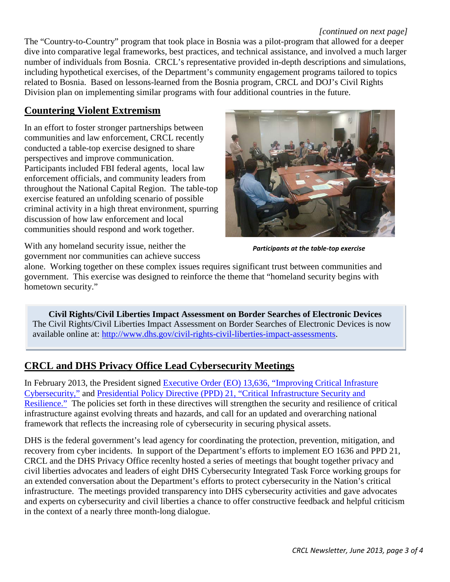#### *[continued on next page]*

The "Country-to-Country" program that took place in Bosnia was a pilot-program that allowed for a deeper dive into comparative legal frameworks, best practices, and technical assistance, and involved a much larger number of individuals from Bosnia. CRCL's representative provided in-depth descriptions and simulations, including hypothetical exercises, of the Department's community engagement programs tailored to topics related to Bosnia. Based on lessons-learned from the Bosnia program, CRCL and DOJ's Civil Rights Division plan on implementing similar programs with four additional countries in the future.

### <span id="page-2-0"></span>**Countering Violent Extremism**

In an effort to foster stronger partnerships between communities and law enforcement, CRCL recently conducted a table-top exercise designed to share perspectives and improve communication. Participants included FBI federal agents, local law enforcement officials, and community leaders from throughout the National Capital Region. The table-top exercise featured an unfolding scenario of possible criminal activity in a high threat environment, spurring discussion of how law enforcement and local communities should respond and work together.



*Participants at the table-top exercise*

With any homeland security issue, neither the government nor communities can achieve success

alone. Working together on these complex issues requires significant trust between communities and government. This exercise was designed to reinforce the theme that "homeland security begins with hometown security."

**Civil Rights/Civil Liberties Impact Assessment on Border Searches of Electronic Devices** The Civil Rights/Civil Liberties Impact Assessment on Border Searches of Electronic Devices is now available online at: [http://www.dhs.gov/civil-rights-civil-liberties-impact-assessments.](http://www.dhs.gov/civil-rights-civil-liberties-impact-assessments)

## <span id="page-2-1"></span>**CRCL and DHS Privacy Office Lead Cybersecurity Meetings**

In February 2013, the President signed [Executive Order \(EO\) 13,636, "Improving Critical Infrasture](http://www.whitehouse.gov/the-press-office/2013/02/12/executive-order-improving-critical-infrastructure-cybersecurity)  [Cybersecurity,"](http://www.whitehouse.gov/the-press-office/2013/02/12/executive-order-improving-critical-infrastructure-cybersecurity) and [Presidential Policy Directive \(PPD\) 21, "Critical Infrastructure Security and](http://www.whitehouse.gov/the-press-office/2013/02/12/presidential-policy-directive-critical-infrastructure-security-and-resil)  [Resilience."](http://www.whitehouse.gov/the-press-office/2013/02/12/presidential-policy-directive-critical-infrastructure-security-and-resil) The policies set forth in these directives will strengthen the security and resilience of critical infrastructure against evolving threats and hazards, and call for an updated and overarching national framework that reflects the increasing role of cybersecurity in securing physical assets.

DHS is the federal government's lead agency for coordinating the protection, prevention, mitigation, and recovery from cyber incidents. In support of the Department's efforts to implement EO 1636 and PPD 21, CRCL and the DHS Privacy Office recenlty hosted a series of meetings that bought together privacy and civil liberties advocates and leaders of eight DHS Cybersecurity Integrated Task Force working groups for an extended conversation about the Department's efforts to protect cybersecurity in the Nation's critical infrastructure. The meetings provided transparency into DHS cybersecurity activities and gave advocates and experts on cybersecurity and civil liberties a chance to offer constructive feedback and helpful criticism in the context of a nearly three month-long dialogue.